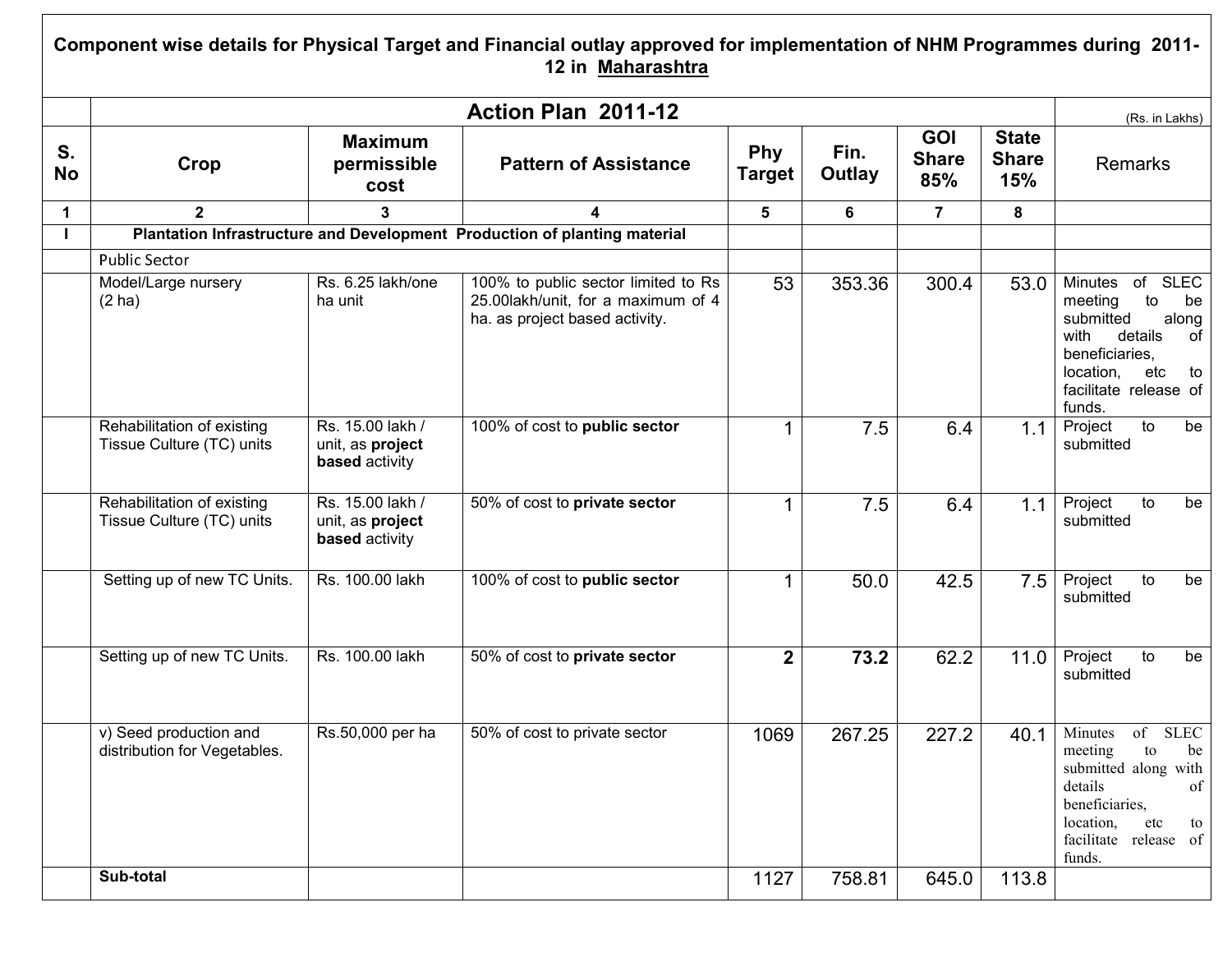## Component wise details for Physical Target and Financial outlay approved for implementation of NHM Programmes during 2011- 12 in Maharashtra

|                 |                                                         |                                                               | Action Plan 2011-12                                                                                         |                      |                |                                   |                                     | (Rs. in Lakhs)                                                                                                                                                                    |
|-----------------|---------------------------------------------------------|---------------------------------------------------------------|-------------------------------------------------------------------------------------------------------------|----------------------|----------------|-----------------------------------|-------------------------------------|-----------------------------------------------------------------------------------------------------------------------------------------------------------------------------------|
| S.<br><b>No</b> | Crop                                                    | <b>Maximum</b><br>permissible<br>cost                         | <b>Pattern of Assistance</b>                                                                                | Phy<br><b>Target</b> | Fin.<br>Outlay | <b>GOI</b><br><b>Share</b><br>85% | <b>State</b><br><b>Share</b><br>15% | <b>Remarks</b>                                                                                                                                                                    |
| 1               | $\mathbf{2}$                                            | 3                                                             |                                                                                                             | $5\phantom{.0}$      | 6              | $\overline{7}$                    | 8                                   |                                                                                                                                                                                   |
| т               |                                                         |                                                               | Plantation Infrastructure and Development Production of planting material                                   |                      |                |                                   |                                     |                                                                                                                                                                                   |
|                 | <b>Public Sector</b>                                    |                                                               |                                                                                                             |                      |                |                                   |                                     |                                                                                                                                                                                   |
|                 | Model/Large nursery<br>(2 ha)                           | Rs. 6.25 lakh/one<br>ha unit                                  | 100% to public sector limited to Rs<br>25.00lakh/unit, for a maximum of 4<br>ha. as project based activity. | 53                   | 353.36         | $\overline{300.4}$                | 53.0                                | <b>SLEC</b><br>Minutes<br>of<br>meeting<br>to<br>be<br>submitted<br>along<br>details<br>with<br>of<br>beneficiaries.<br>location,<br>etc<br>to<br>facilitate release of<br>funds. |
|                 | Rehabilitation of existing<br>Tissue Culture (TC) units | Rs. 15.00 lakh /<br>unit, as project<br>based activity        | 100% of cost to public sector                                                                               | $\mathbf{1}$         | 7.5            | 6.4                               | 1.1                                 | Project<br>to<br>be<br>submitted                                                                                                                                                  |
|                 | Rehabilitation of existing<br>Tissue Culture (TC) units | Rs. 15.00 lakh /<br>unit, as project<br><b>based</b> activity | 50% of cost to private sector                                                                               | $\mathbf{1}$         | 7.5            | 6.4                               | 1.1                                 | Project<br>$\overline{t}$<br>be<br>submitted                                                                                                                                      |
|                 | Setting up of new TC Units.                             | Rs. 100.00 lakh                                               | 100% of cost to public sector                                                                               | $\mathbf 1$          | 50.0           | 42.5                              | 7.5                                 | Project<br>to<br>be<br>submitted                                                                                                                                                  |
|                 | Setting up of new TC Units.                             | Rs. 100.00 lakh                                               | 50% of cost to private sector                                                                               | $\mathbf{2}$         | 73.2           | 62.2                              | 11.0                                | Project<br>$\overline{10}$<br>be<br>submitted                                                                                                                                     |
|                 | v) Seed production and<br>distribution for Vegetables.  | Rs.50,000 per ha                                              | 50% of cost to private sector                                                                               | 1069                 | 267.25         | 227.2                             | 40.1                                | <b>SLEC</b><br>Minutes<br>of<br>meeting<br>to<br>be<br>submitted along with<br>details<br>of<br>beneficiaries,<br>location,<br>etc<br>to<br>facilitate release of<br>funds.       |
|                 | Sub-total                                               |                                                               |                                                                                                             | 1127                 | 758.81         | 645.0                             | 113.8                               |                                                                                                                                                                                   |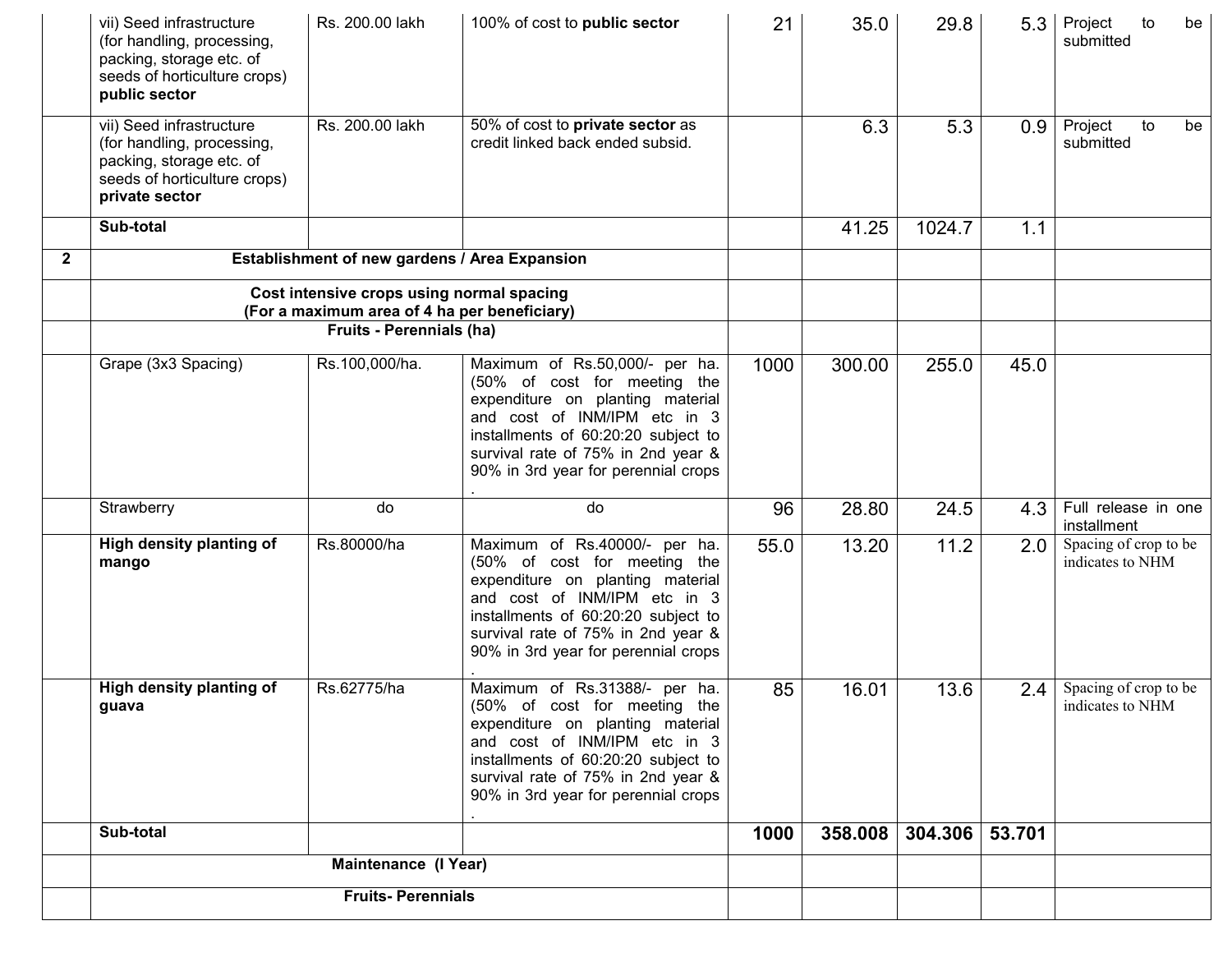|              | vii) Seed infrastructure<br>(for handling, processing,<br>packing, storage etc. of<br>seeds of horticulture crops)<br>public sector  | Rs. 200.00 lakh                                                                                                       | 100% of cost to public sector                                                                                                                                                                                                                          | 21   | 35.0    | 29.8    | 5.3    | Project<br>to<br>be<br>submitted          |
|--------------|--------------------------------------------------------------------------------------------------------------------------------------|-----------------------------------------------------------------------------------------------------------------------|--------------------------------------------------------------------------------------------------------------------------------------------------------------------------------------------------------------------------------------------------------|------|---------|---------|--------|-------------------------------------------|
|              | vii) Seed infrastructure<br>(for handling, processing,<br>packing, storage etc. of<br>seeds of horticulture crops)<br>private sector | Rs. 200.00 lakh                                                                                                       | 50% of cost to private sector as<br>credit linked back ended subsid.                                                                                                                                                                                   |      | 6.3     | 5.3     | 0.9    | Project<br>to<br>be<br>submitted          |
|              | Sub-total                                                                                                                            |                                                                                                                       |                                                                                                                                                                                                                                                        |      | 41.25   | 1024.7  | 1.1    |                                           |
| $\mathbf{2}$ |                                                                                                                                      | Establishment of new gardens / Area Expansion                                                                         |                                                                                                                                                                                                                                                        |      |         |         |        |                                           |
|              |                                                                                                                                      | Cost intensive crops using normal spacing<br>(For a maximum area of 4 ha per beneficiary)<br>Fruits - Perennials (ha) |                                                                                                                                                                                                                                                        |      |         |         |        |                                           |
|              | Grape (3x3 Spacing)                                                                                                                  | Rs.100,000/ha.                                                                                                        | Maximum of Rs.50,000/- per ha.<br>(50% of cost for meeting the<br>expenditure on planting material<br>and cost of INM/IPM etc in 3<br>installments of 60:20:20 subject to<br>survival rate of 75% in 2nd year &<br>90% in 3rd year for perennial crops | 1000 | 300.00  | 255.0   | 45.0   |                                           |
|              | Strawberry                                                                                                                           | do                                                                                                                    | do                                                                                                                                                                                                                                                     | 96   | 28.80   | 24.5    | 4.3    | Full release in one<br>installment        |
|              | High density planting of<br>mango                                                                                                    | Rs.80000/ha                                                                                                           | Maximum of Rs.40000/- per ha.<br>(50% of cost for meeting the<br>expenditure on planting material<br>and cost of INM/IPM etc in 3<br>installments of 60:20:20 subject to<br>survival rate of 75% in 2nd year &<br>90% in 3rd year for perennial crops  | 55.0 | 13.20   | 11.2    | 2.0    | Spacing of crop to be<br>indicates to NHM |
|              | High density planting of<br>guava                                                                                                    | Rs.62775/ha                                                                                                           | Maximum of Rs.31388/- per ha.<br>(50% of cost for meeting the<br>expenditure on planting material<br>and cost of INM/IPM etc in 3<br>installments of 60:20:20 subject to<br>survival rate of 75% in 2nd year &<br>90% in 3rd year for perennial crops  | 85   | 16.01   | 13.6    | 2.4    | Spacing of crop to be<br>indicates to NHM |
|              | Sub-total                                                                                                                            |                                                                                                                       |                                                                                                                                                                                                                                                        | 1000 | 358.008 | 304.306 | 53.701 |                                           |
|              |                                                                                                                                      |                                                                                                                       |                                                                                                                                                                                                                                                        |      |         |         |        |                                           |
|              |                                                                                                                                      | <b>Fruits-Perennials</b>                                                                                              |                                                                                                                                                                                                                                                        |      |         |         |        |                                           |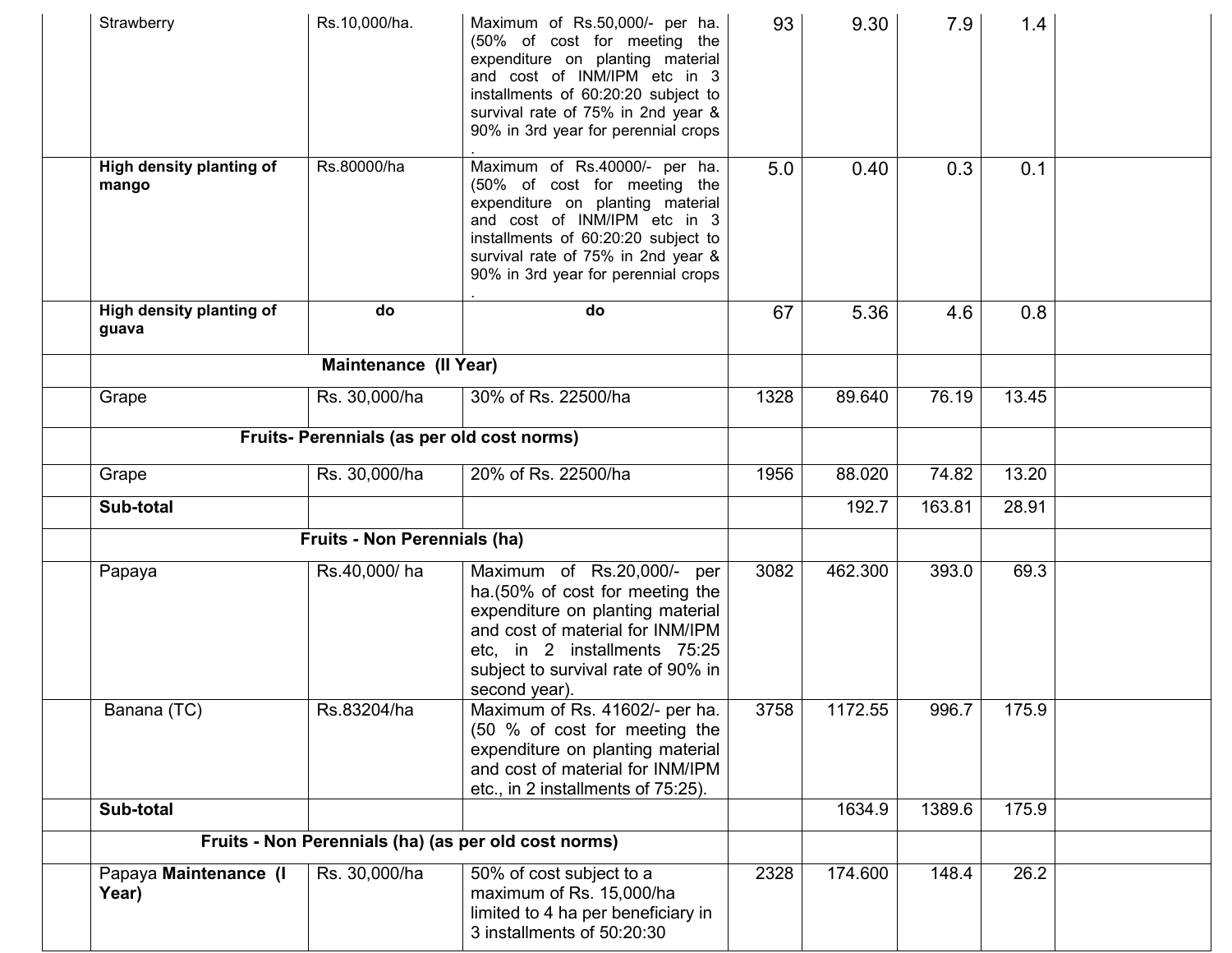| Strawberry                        | Rs.10,000/ha.                                        | Maximum of Rs.50,000/- per ha.<br>(50% of cost for meeting the<br>expenditure on planting material<br>and cost of INM/IPM etc in 3<br>installments of 60:20:20 subject to<br>survival rate of 75% in 2nd year &<br>90% in 3rd year for perennial crops | 93   | 9.30    | 7.9    | 1.4   |  |
|-----------------------------------|------------------------------------------------------|--------------------------------------------------------------------------------------------------------------------------------------------------------------------------------------------------------------------------------------------------------|------|---------|--------|-------|--|
| High density planting of<br>mango | Rs.80000/ha                                          | Maximum of Rs.40000/- per ha.<br>(50% of cost for meeting the<br>expenditure on planting material<br>and cost of INM/IPM etc in 3<br>installments of 60:20:20 subject to<br>survival rate of 75% in 2nd year &<br>90% in 3rd year for perennial crops  | 5.0  | 0.40    | 0.3    | 0.1   |  |
| High density planting of<br>guava | do                                                   | do                                                                                                                                                                                                                                                     | 67   | 5.36    | 4.6    | 0.8   |  |
|                                   | Maintenance (II Year)                                |                                                                                                                                                                                                                                                        |      |         |        |       |  |
| Grape                             | Rs. 30,000/ha                                        | 30% of Rs. 22500/ha                                                                                                                                                                                                                                    | 1328 | 89.640  | 76.19  | 13.45 |  |
|                                   | Fruits- Perennials (as per old cost norms)           |                                                                                                                                                                                                                                                        |      |         |        |       |  |
| Grape                             | Rs. 30,000/ha                                        | 20% of Rs. 22500/ha                                                                                                                                                                                                                                    | 1956 | 88.020  | 74.82  | 13.20 |  |
| Sub-total                         |                                                      |                                                                                                                                                                                                                                                        |      | 192.7   | 163.81 | 28.91 |  |
|                                   | <b>Fruits - Non Perennials (ha)</b>                  |                                                                                                                                                                                                                                                        |      |         |        |       |  |
| Papaya                            | Rs.40,000/ha                                         | Maximum of Rs.20,000/- per<br>ha. (50% of cost for meeting the<br>expenditure on planting material<br>and cost of material for INM/IPM<br>etc, in 2 installments 75:25<br>subject to survival rate of 90% in<br>second year).                          | 3082 | 462.300 | 393.0  | 69.3  |  |
| Banana (TC)                       | Rs.83204/ha                                          | Maximum of Rs. 41602/- per ha.<br>(50 % of cost for meeting the<br>expenditure on planting material<br>and cost of material for INM/IPM<br>etc., in 2 installments of 75:25).                                                                          | 3758 | 1172.55 | 996.7  | 175.9 |  |
| Sub-total                         |                                                      |                                                                                                                                                                                                                                                        |      | 1634.9  | 1389.6 | 175.9 |  |
|                                   | Fruits - Non Perennials (ha) (as per old cost norms) |                                                                                                                                                                                                                                                        |      |         |        |       |  |
| Papaya Maintenance (I<br>Year)    | Rs. 30,000/ha                                        | 50% of cost subject to a<br>maximum of Rs. 15,000/ha<br>limited to 4 ha per beneficiary in<br>3 installments of 50:20:30                                                                                                                               | 2328 | 174.600 | 148.4  | 26.2  |  |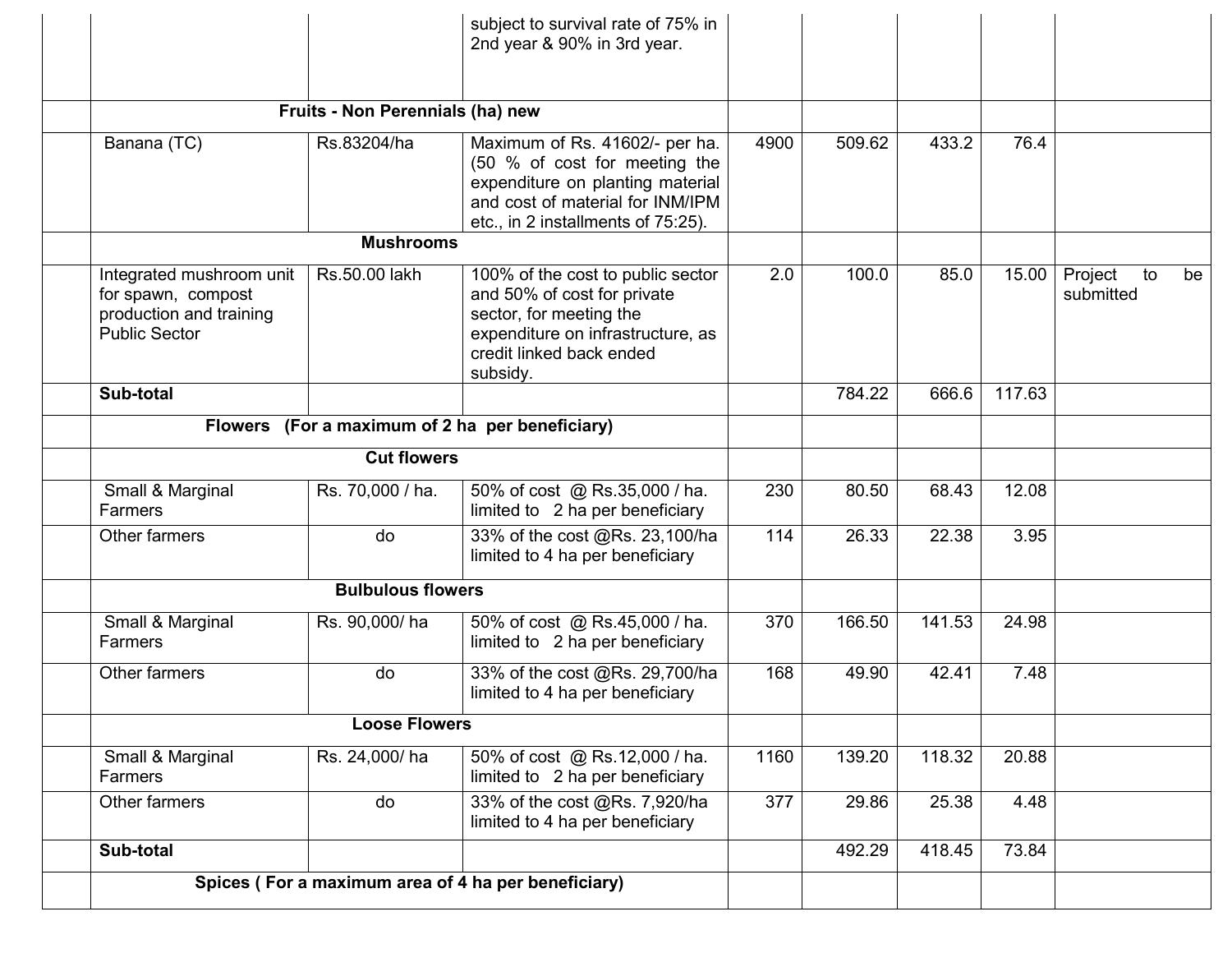|                                                                                                   |                                  | subject to survival rate of 75% in<br>2nd year & 90% in 3rd year.                                                                                                             |      |        |        |        |                            |    |
|---------------------------------------------------------------------------------------------------|----------------------------------|-------------------------------------------------------------------------------------------------------------------------------------------------------------------------------|------|--------|--------|--------|----------------------------|----|
|                                                                                                   | Fruits - Non Perennials (ha) new |                                                                                                                                                                               |      |        |        |        |                            |    |
| Banana (TC)                                                                                       | Rs.83204/ha                      | Maximum of Rs. 41602/- per ha.<br>(50 % of cost for meeting the<br>expenditure on planting material<br>and cost of material for INM/IPM<br>etc., in 2 installments of 75:25). | 4900 | 509.62 | 433.2  | 76.4   |                            |    |
|                                                                                                   | <b>Mushrooms</b>                 |                                                                                                                                                                               |      |        |        |        |                            |    |
| Integrated mushroom unit<br>for spawn, compost<br>production and training<br><b>Public Sector</b> | Rs.50.00 lakh                    | 100% of the cost to public sector<br>and 50% of cost for private<br>sector, for meeting the<br>expenditure on infrastructure, as<br>credit linked back ended<br>subsidy.      | 2.0  | 100.0  | 85.0   | 15.00  | Project<br>to<br>submitted | be |
| Sub-total                                                                                         |                                  |                                                                                                                                                                               |      | 784.22 | 666.6  | 117.63 |                            |    |
|                                                                                                   |                                  | Flowers (For a maximum of 2 ha per beneficiary)                                                                                                                               |      |        |        |        |                            |    |
|                                                                                                   | <b>Cut flowers</b>               |                                                                                                                                                                               |      |        |        |        |                            |    |
| Small & Marginal<br>Farmers                                                                       | Rs. 70,000 / ha.                 | 50% of cost @ Rs.35,000 / ha.<br>limited to 2 ha per beneficiary                                                                                                              | 230  | 80.50  | 68.43  | 12.08  |                            |    |
| Other farmers                                                                                     | do                               | 33% of the cost @Rs. 23,100/ha<br>limited to 4 ha per beneficiary                                                                                                             | 114  | 26.33  | 22.38  | 3.95   |                            |    |
|                                                                                                   | <b>Bulbulous flowers</b>         |                                                                                                                                                                               |      |        |        |        |                            |    |
| Small & Marginal<br>Farmers                                                                       | Rs. 90,000/ha                    | 50% of cost @ Rs.45,000 / ha.<br>limited to 2 ha per beneficiary                                                                                                              | 370  | 166.50 | 141.53 | 24.98  |                            |    |
| Other farmers                                                                                     | do                               | 33% of the cost @Rs. 29,700/ha<br>limited to 4 ha per beneficiary                                                                                                             | 168  | 49.90  | 42.41  | 7.48   |                            |    |
|                                                                                                   | <b>Loose Flowers</b>             |                                                                                                                                                                               |      |        |        |        |                            |    |
| Small & Marginal<br>Farmers                                                                       | Rs. 24,000/ha                    | 50% of cost @ Rs.12,000 / ha.<br>limited to 2 ha per beneficiary                                                                                                              | 1160 | 139.20 | 118.32 | 20.88  |                            |    |
| Other farmers                                                                                     | do                               | 33% of the cost @Rs. 7,920/ha<br>limited to 4 ha per beneficiary                                                                                                              | 377  | 29.86  | 25.38  | 4.48   |                            |    |
| Sub-total                                                                                         |                                  |                                                                                                                                                                               |      | 492.29 | 418.45 | 73.84  |                            |    |
|                                                                                                   |                                  | Spices (For a maximum area of 4 ha per beneficiary)                                                                                                                           |      |        |        |        |                            |    |
|                                                                                                   |                                  |                                                                                                                                                                               |      |        |        |        |                            |    |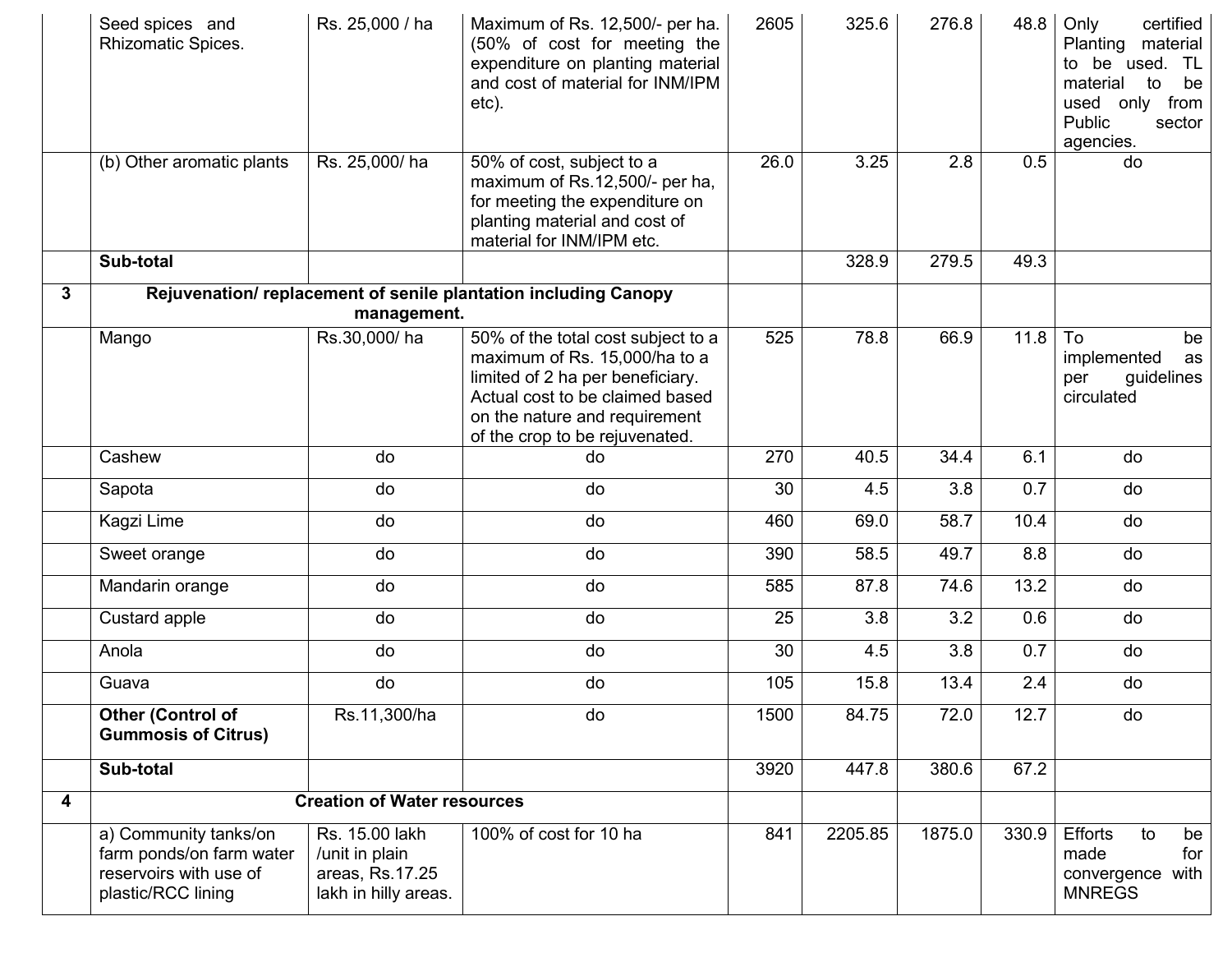|   | Seed spices and<br>Rhizomatic Spices.                                                             | Rs. 25,000 / ha                                                             | Maximum of Rs. 12,500/- per ha.<br>(50% of cost for meeting the<br>expenditure on planting material<br>and cost of material for INM/IPM<br>etc).                                                              | 2605 | 325.6   | 276.8  | 48.8  | Only<br>certified<br>Planting<br>material<br>to be used. TL<br>material<br>to<br>be<br>used only from<br>Public<br>sector<br>agencies. |
|---|---------------------------------------------------------------------------------------------------|-----------------------------------------------------------------------------|---------------------------------------------------------------------------------------------------------------------------------------------------------------------------------------------------------------|------|---------|--------|-------|----------------------------------------------------------------------------------------------------------------------------------------|
|   | (b) Other aromatic plants                                                                         | Rs. 25,000/ha                                                               | 50% of cost, subject to a<br>maximum of Rs.12,500/- per ha,<br>for meeting the expenditure on<br>planting material and cost of<br>material for INM/IPM etc.                                                   | 26.0 | 3.25    | 2.8    | 0.5   | do                                                                                                                                     |
|   | Sub-total                                                                                         |                                                                             |                                                                                                                                                                                                               |      | 328.9   | 279.5  | 49.3  |                                                                                                                                        |
| 3 |                                                                                                   |                                                                             | Rejuvenation/replacement of senile plantation including Canopy                                                                                                                                                |      |         |        |       |                                                                                                                                        |
|   |                                                                                                   | management.                                                                 |                                                                                                                                                                                                               |      |         |        |       |                                                                                                                                        |
|   | Mango                                                                                             | Rs.30,000/ha                                                                | 50% of the total cost subject to a<br>maximum of Rs. 15,000/ha to a<br>limited of 2 ha per beneficiary.<br>Actual cost to be claimed based<br>on the nature and requirement<br>of the crop to be rejuvenated. | 525  | 78.8    | 66.9   | 11.8  | To<br>be<br>implemented<br>as<br>guidelines<br>per<br>circulated                                                                       |
|   | Cashew                                                                                            | do                                                                          | do                                                                                                                                                                                                            | 270  | 40.5    | 34.4   | 6.1   | do                                                                                                                                     |
|   | Sapota                                                                                            | do                                                                          | do                                                                                                                                                                                                            | 30   | 4.5     | 3.8    | 0.7   | do                                                                                                                                     |
|   | Kagzi Lime                                                                                        | do                                                                          | do                                                                                                                                                                                                            | 460  | 69.0    | 58.7   | 10.4  | do                                                                                                                                     |
|   | Sweet orange                                                                                      | do                                                                          | do                                                                                                                                                                                                            | 390  | 58.5    | 49.7   | 8.8   | do                                                                                                                                     |
|   | Mandarin orange                                                                                   | do                                                                          | do                                                                                                                                                                                                            | 585  | 87.8    | 74.6   | 13.2  | do                                                                                                                                     |
|   | Custard apple                                                                                     | do                                                                          | do                                                                                                                                                                                                            | 25   | 3.8     | 3.2    | 0.6   | do                                                                                                                                     |
|   | Anola                                                                                             | do                                                                          | do                                                                                                                                                                                                            | 30   | 4.5     | 3.8    | 0.7   | do                                                                                                                                     |
|   | Guava                                                                                             | do                                                                          | do                                                                                                                                                                                                            | 105  | 15.8    | 13.4   | 2.4   | do                                                                                                                                     |
|   | Other (Control of<br><b>Gummosis of Citrus)</b>                                                   | Rs.11,300/ha                                                                | do                                                                                                                                                                                                            | 1500 | 84.75   | 72.0   | 12.7  | do                                                                                                                                     |
|   | Sub-total                                                                                         |                                                                             |                                                                                                                                                                                                               | 3920 | 447.8   | 380.6  | 67.2  |                                                                                                                                        |
| 4 |                                                                                                   | <b>Creation of Water resources</b>                                          |                                                                                                                                                                                                               |      |         |        |       |                                                                                                                                        |
|   | a) Community tanks/on<br>farm ponds/on farm water<br>reservoirs with use of<br>plastic/RCC lining | Rs. 15.00 lakh<br>/unit in plain<br>areas, Rs.17.25<br>lakh in hilly areas. | 100% of cost for 10 ha                                                                                                                                                                                        | 841  | 2205.85 | 1875.0 | 330.9 | Efforts<br>to<br>be<br>made<br>for<br>convergence with<br><b>MNREGS</b>                                                                |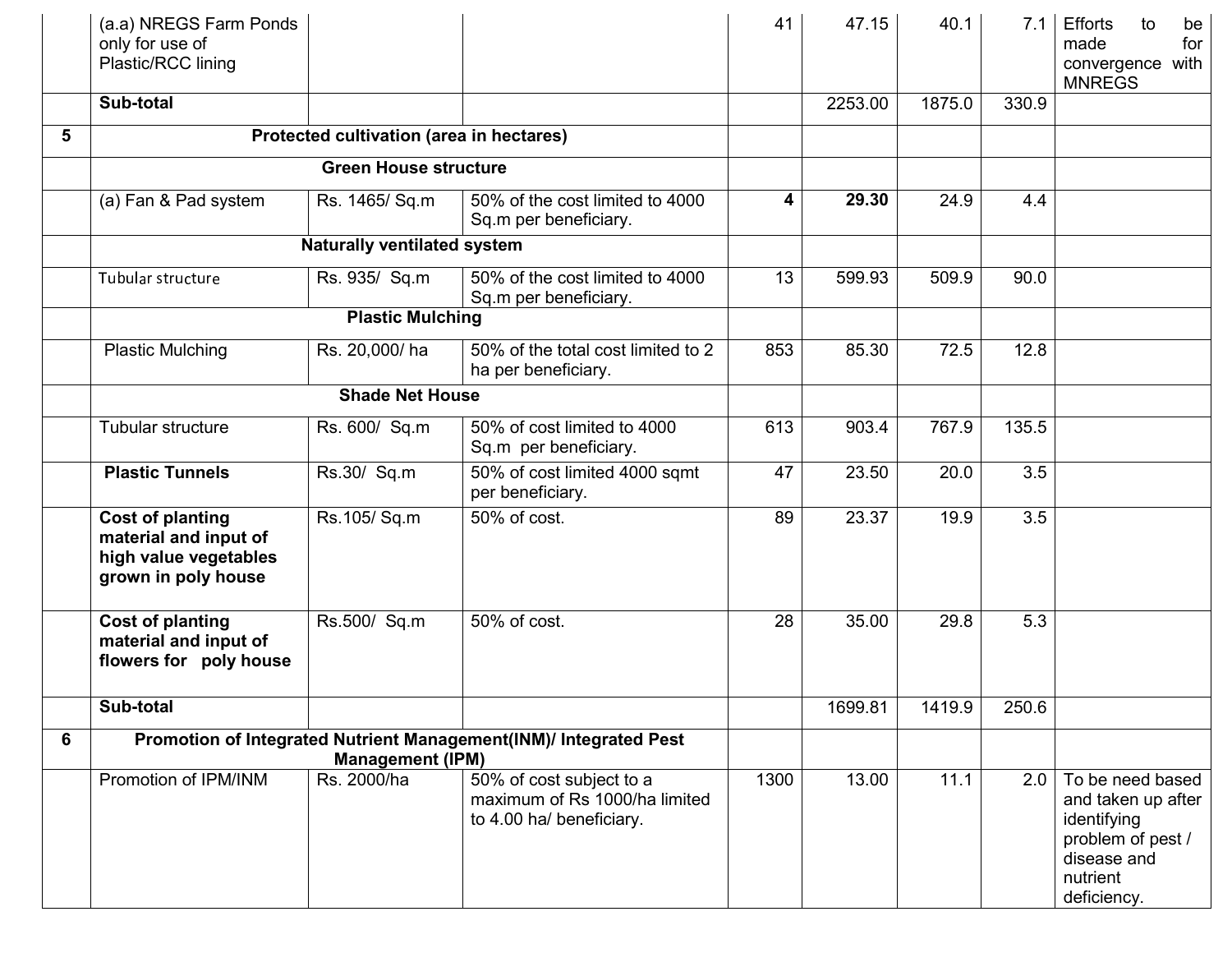|   | (a.a) NREGS Farm Ponds<br>only for use of<br>Plastic/RCC lining                                  |                                          |                                                                                       | 41   | 47.15   | 40.1   | 7.1   | <b>Efforts</b><br>to<br>be<br>for<br>made<br>convergence with<br><b>MNREGS</b>                                       |
|---|--------------------------------------------------------------------------------------------------|------------------------------------------|---------------------------------------------------------------------------------------|------|---------|--------|-------|----------------------------------------------------------------------------------------------------------------------|
|   | Sub-total                                                                                        |                                          |                                                                                       |      | 2253.00 | 1875.0 | 330.9 |                                                                                                                      |
| 5 |                                                                                                  | Protected cultivation (area in hectares) |                                                                                       |      |         |        |       |                                                                                                                      |
|   |                                                                                                  | <b>Green House structure</b>             |                                                                                       |      |         |        |       |                                                                                                                      |
|   | (a) Fan & Pad system                                                                             | Rs. 1465/ Sq.m                           | 50% of the cost limited to 4000<br>Sq.m per beneficiary.                              | 4    | 29.30   | 24.9   | 4.4   |                                                                                                                      |
|   |                                                                                                  | <b>Naturally ventilated system</b>       |                                                                                       |      |         |        |       |                                                                                                                      |
|   | Tubular structure                                                                                | Rs. 935/ Sq.m                            | 50% of the cost limited to 4000<br>Sq.m per beneficiary.                              | 13   | 599.93  | 509.9  | 90.0  |                                                                                                                      |
|   |                                                                                                  | <b>Plastic Mulching</b>                  |                                                                                       |      |         |        |       |                                                                                                                      |
|   | <b>Plastic Mulching</b>                                                                          | Rs. 20,000/ha                            | 50% of the total cost limited to 2<br>ha per beneficiary.                             | 853  | 85.30   | 72.5   | 12.8  |                                                                                                                      |
|   |                                                                                                  | <b>Shade Net House</b>                   |                                                                                       |      |         |        |       |                                                                                                                      |
|   | Tubular structure                                                                                | Rs. 600/ Sq.m                            | 50% of cost limited to 4000<br>Sq.m per beneficiary.                                  | 613  | 903.4   | 767.9  | 135.5 |                                                                                                                      |
|   | <b>Plastic Tunnels</b>                                                                           | Rs.30/ Sq.m                              | 50% of cost limited 4000 sqmt<br>per beneficiary.                                     | 47   | 23.50   | 20.0   | 3.5   |                                                                                                                      |
|   | <b>Cost of planting</b><br>material and input of<br>high value vegetables<br>grown in poly house | Rs.105/Sq.m                              | 50% of cost.                                                                          | 89   | 23.37   | 19.9   | 3.5   |                                                                                                                      |
|   | Cost of planting<br>material and input of<br>flowers for poly house                              | Rs.500/ Sq.m                             | 50% of cost.                                                                          | 28   | 35.00   | 29.8   | 5.3   |                                                                                                                      |
|   | Sub-total                                                                                        |                                          |                                                                                       |      | 1699.81 | 1419.9 | 250.6 |                                                                                                                      |
| 6 |                                                                                                  | <b>Management (IPM)</b>                  | Promotion of Integrated Nutrient Management(INM)/ Integrated Pest                     |      |         |        |       |                                                                                                                      |
|   | Promotion of IPM/INM                                                                             | Rs. 2000/ha                              | 50% of cost subject to a<br>maximum of Rs 1000/ha limited<br>to 4.00 ha/ beneficiary. | 1300 | 13.00   | 11.1   | 2.0   | To be need based<br>and taken up after<br>identifying<br>problem of pest /<br>disease and<br>nutrient<br>deficiency. |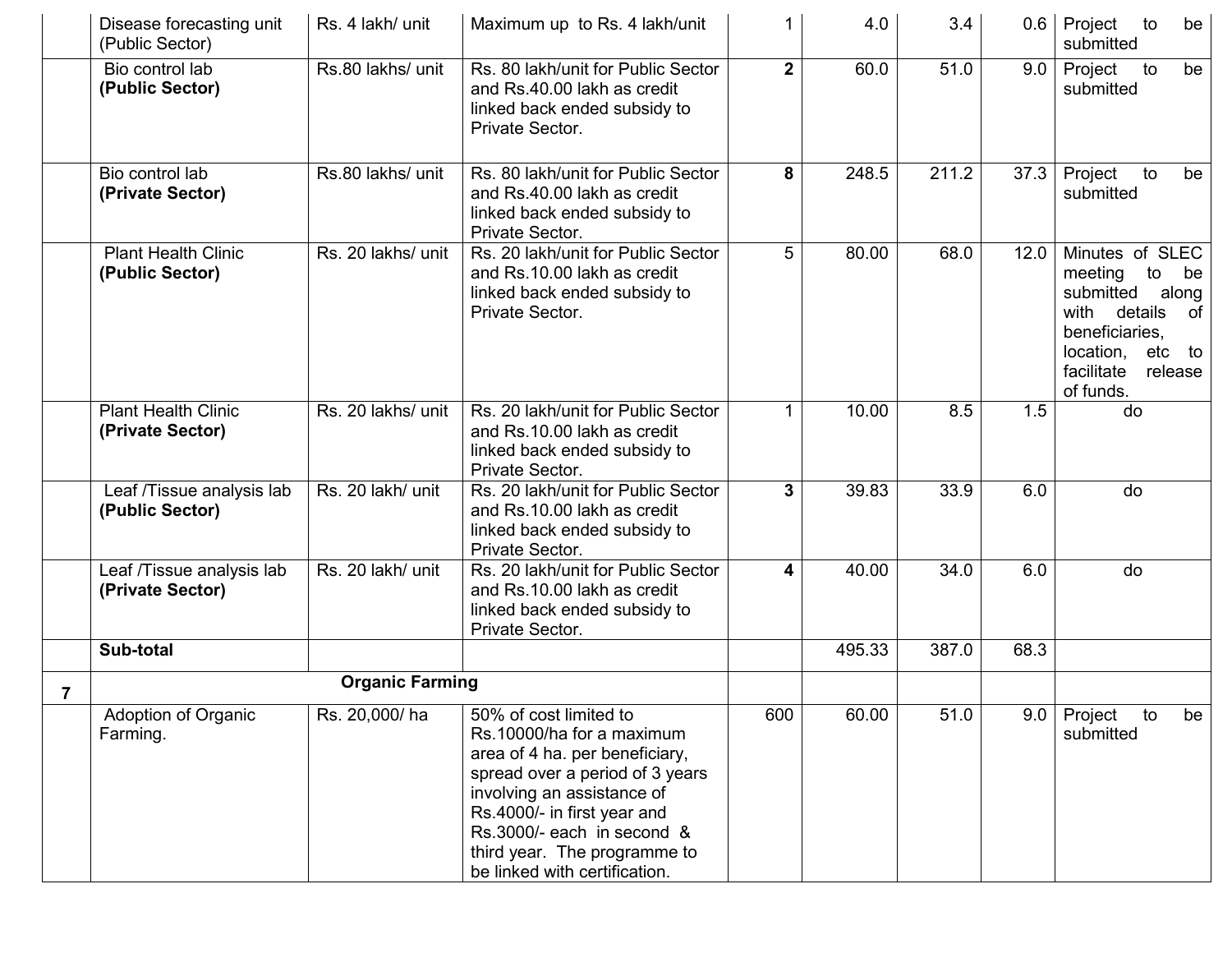|   | Disease forecasting unit<br>(Public Sector)    | Rs. 4 lakh/ unit       | Maximum up to Rs. 4 lakh/unit                                                                                                                                                                                                                                                        |              | 4.0    | 3.4   | 0.6  | to<br>Project<br>be<br>submitted                                                                                                                                  |
|---|------------------------------------------------|------------------------|--------------------------------------------------------------------------------------------------------------------------------------------------------------------------------------------------------------------------------------------------------------------------------------|--------------|--------|-------|------|-------------------------------------------------------------------------------------------------------------------------------------------------------------------|
|   | Bio control lab<br>(Public Sector)             | Rs.80 lakhs/ unit      | Rs. 80 lakh/unit for Public Sector<br>and Rs.40.00 lakh as credit<br>linked back ended subsidy to<br>Private Sector.                                                                                                                                                                 | $2^{\circ}$  | 60.0   | 51.0  | 9.0  | Project<br>to<br>be<br>submitted                                                                                                                                  |
|   | Bio control lab<br>(Private Sector)            | Rs.80 lakhs/ unit      | Rs. 80 lakh/unit for Public Sector<br>and Rs.40.00 lakh as credit<br>linked back ended subsidy to<br>Private Sector.                                                                                                                                                                 | 8            | 248.5  | 211.2 | 37.3 | Project<br>to<br>be<br>submitted                                                                                                                                  |
|   | <b>Plant Health Clinic</b><br>(Public Sector)  | Rs. 20 lakhs/ unit     | Rs. 20 lakh/unit for Public Sector<br>and Rs.10.00 lakh as credit<br>linked back ended subsidy to<br>Private Sector.                                                                                                                                                                 | 5            | 80.00  | 68.0  | 12.0 | Minutes of SLEC<br>meeting<br>to<br>be<br>submitted<br>along<br>with details<br>of<br>beneficiaries,<br>location, etc<br>to<br>facilitate<br>release<br>of funds. |
|   | <b>Plant Health Clinic</b><br>(Private Sector) | Rs. 20 lakhs/ unit     | Rs. 20 lakh/unit for Public Sector<br>and Rs.10.00 lakh as credit<br>linked back ended subsidy to<br>Private Sector.                                                                                                                                                                 | 1            | 10.00  | 8.5   | 1.5  | do                                                                                                                                                                |
|   | Leaf /Tissue analysis lab<br>(Public Sector)   | Rs. 20 lakh/ unit      | Rs. 20 lakh/unit for Public Sector<br>and Rs.10.00 lakh as credit<br>linked back ended subsidy to<br>Private Sector.                                                                                                                                                                 | $\mathbf{3}$ | 39.83  | 33.9  | 6.0  | do                                                                                                                                                                |
|   | Leaf /Tissue analysis lab<br>(Private Sector)  | Rs. 20 lakh/ unit      | Rs. 20 lakh/unit for Public Sector<br>and Rs.10.00 lakh as credit<br>linked back ended subsidy to<br>Private Sector.                                                                                                                                                                 | 4            | 40.00  | 34.0  | 6.0  | do                                                                                                                                                                |
|   | Sub-total                                      |                        |                                                                                                                                                                                                                                                                                      |              | 495.33 | 387.0 | 68.3 |                                                                                                                                                                   |
| 7 |                                                | <b>Organic Farming</b> |                                                                                                                                                                                                                                                                                      |              |        |       |      |                                                                                                                                                                   |
|   | Adoption of Organic<br>Farming.                | Rs. 20,000/ha          | 50% of cost limited to<br>Rs.10000/ha for a maximum<br>area of 4 ha. per beneficiary,<br>spread over a period of 3 years<br>involving an assistance of<br>Rs.4000/- in first year and<br>Rs.3000/- each in second &<br>third year. The programme to<br>be linked with certification. | 600          | 60.00  | 51.0  |      | 9.0 Project to<br>be<br>submitted                                                                                                                                 |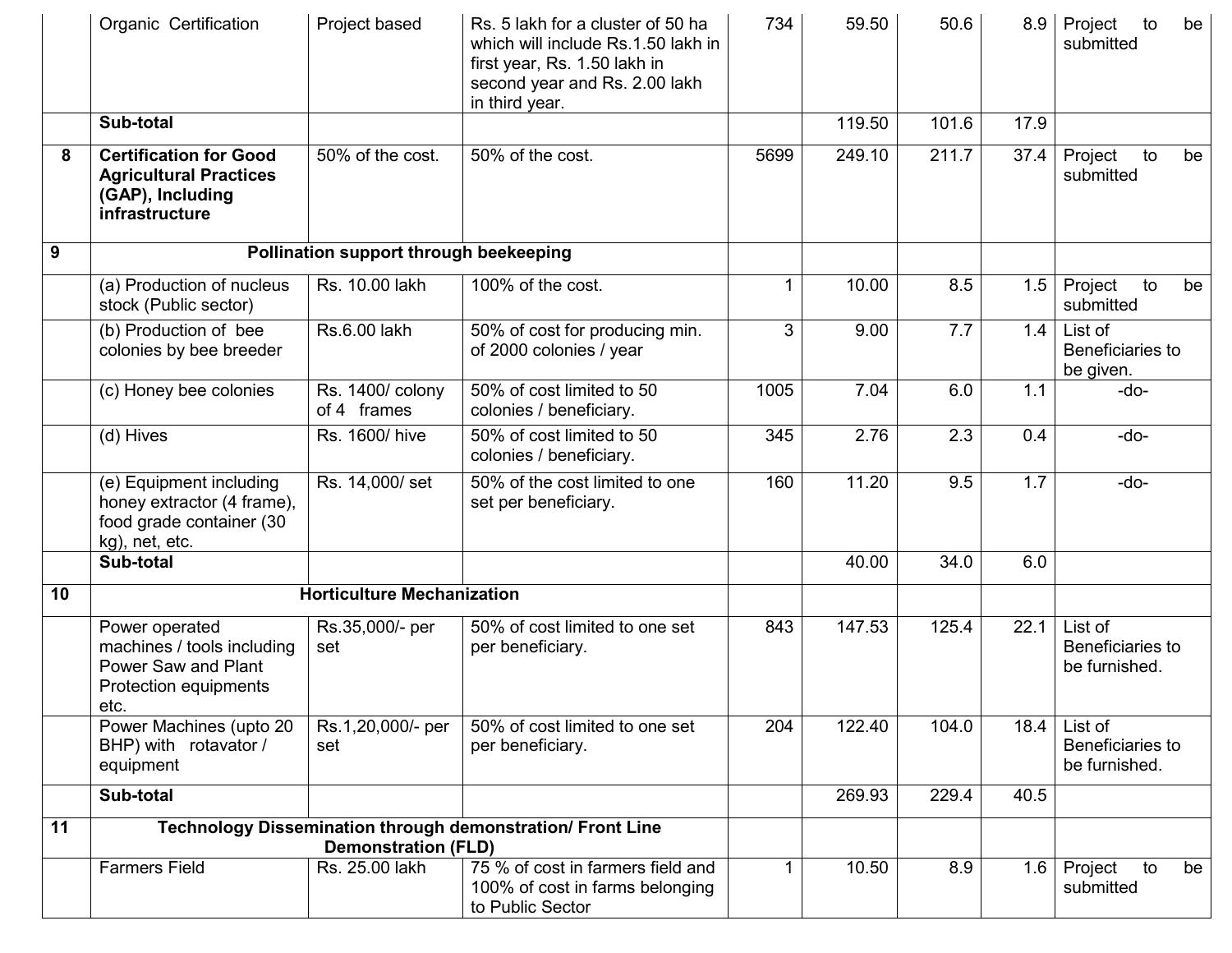|    | Organic Certification                                                                                | Project based                          | Rs. 5 lakh for a cluster of 50 ha<br>which will include Rs.1.50 lakh in<br>first year, Rs. 1.50 lakh in<br>second year and Rs. 2.00 lakh<br>in third year. | 734  | 59.50  | 50.6  | 8.9  | Project<br>to<br>be<br>submitted             |
|----|------------------------------------------------------------------------------------------------------|----------------------------------------|------------------------------------------------------------------------------------------------------------------------------------------------------------|------|--------|-------|------|----------------------------------------------|
|    | Sub-total                                                                                            |                                        |                                                                                                                                                            |      | 119.50 | 101.6 | 17.9 |                                              |
| 8  | <b>Certification for Good</b><br><b>Agricultural Practices</b><br>(GAP), Including<br>infrastructure | 50% of the cost.                       | 50% of the cost.                                                                                                                                           | 5699 | 249.10 | 211.7 | 37.4 | to<br>Project<br>be<br>submitted             |
| 9  |                                                                                                      | Pollination support through beekeeping |                                                                                                                                                            |      |        |       |      |                                              |
|    | (a) Production of nucleus<br>stock (Public sector)                                                   | Rs. 10.00 lakh                         | 100% of the cost.                                                                                                                                          | 1    | 10.00  | 8.5   | 1.5  | Project<br>to<br>be<br>submitted             |
|    | (b) Production of bee<br>colonies by bee breeder                                                     | Rs.6.00 lakh                           | 50% of cost for producing min.<br>of 2000 colonies / year                                                                                                  | 3    | 9.00   | 7.7   | 1.4  | List of<br>Beneficiaries to<br>be given.     |
|    | (c) Honey bee colonies                                                                               | Rs. 1400/ colony<br>of 4 frames        | 50% of cost limited to 50<br>colonies / beneficiary.                                                                                                       | 1005 | 7.04   | 6.0   | 1.1  | -do-                                         |
|    | (d) Hives                                                                                            | Rs. 1600/ hive                         | 50% of cost limited to 50<br>colonies / beneficiary.                                                                                                       | 345  | 2.76   | 2.3   | 0.4  | -do-                                         |
|    | (e) Equipment including<br>honey extractor (4 frame),<br>food grade container (30<br>kg), net, etc.  | Rs. 14,000/ set                        | 50% of the cost limited to one<br>set per beneficiary.                                                                                                     | 160  | 11.20  | 9.5   | 1.7  | -do-                                         |
|    | Sub-total                                                                                            |                                        |                                                                                                                                                            |      | 40.00  | 34.0  | 6.0  |                                              |
| 10 |                                                                                                      | <b>Horticulture Mechanization</b>      |                                                                                                                                                            |      |        |       |      |                                              |
|    | Power operated<br>machines / tools including<br>Power Saw and Plant<br>Protection equipments<br>etc. | Rs.35,000/- per<br>set                 | 50% of cost limited to one set<br>per beneficiary.                                                                                                         | 843  | 147.53 | 125.4 | 22.1 | List of<br>Beneficiaries to<br>be furnished. |
|    | Power Machines (upto 20<br>BHP) with rotavator /<br>equipment                                        | Rs.1,20,000/- per<br>set               | 50% of cost limited to one set<br>per beneficiary.                                                                                                         | 204  | 122.40 | 104.0 | 18.4 | List of<br>Beneficiaries to<br>be furnished. |
|    | Sub-total                                                                                            |                                        |                                                                                                                                                            |      | 269.93 | 229.4 | 40.5 |                                              |
| 11 |                                                                                                      | <b>Demonstration (FLD)</b>             | Technology Dissemination through demonstration/ Front Line                                                                                                 |      |        |       |      |                                              |
|    | <b>Farmers Field</b>                                                                                 | Rs. 25.00 lakh                         | 75 % of cost in farmers field and<br>100% of cost in farms belonging<br>to Public Sector                                                                   | 1    | 10.50  | 8.9   | 1.6  | Project<br>to<br>be<br>submitted             |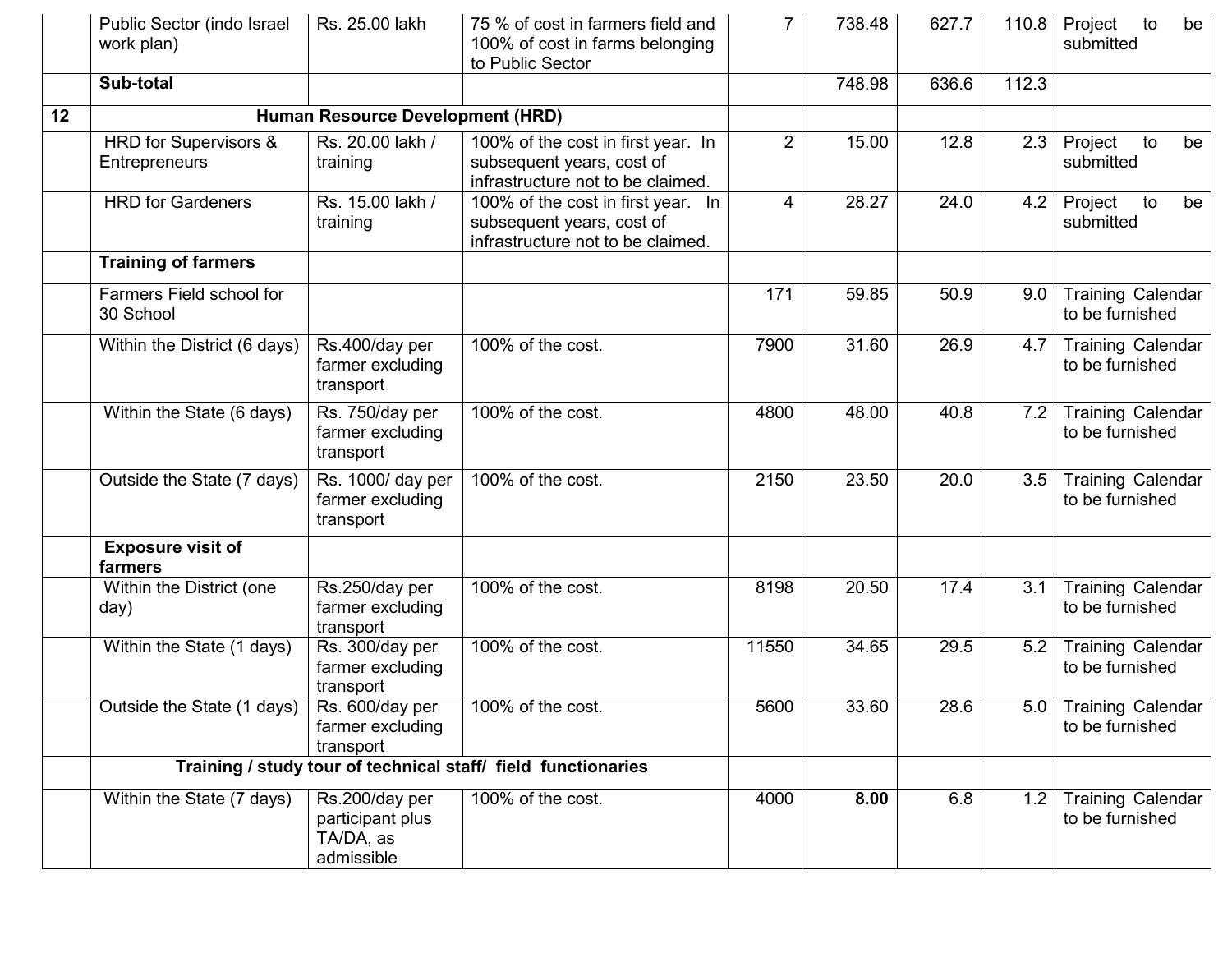|    | Public Sector (indo Israel<br>work plan)      | Rs. 25.00 lakh                                                | 75 % of cost in farmers field and<br>100% of cost in farms belonging<br>to Public Sector             | 7              | 738.48 | 627.7 | 110.8 | to<br>Project<br>be<br>submitted            |
|----|-----------------------------------------------|---------------------------------------------------------------|------------------------------------------------------------------------------------------------------|----------------|--------|-------|-------|---------------------------------------------|
|    | Sub-total                                     |                                                               |                                                                                                      |                | 748.98 | 636.6 | 112.3 |                                             |
| 12 |                                               | Human Resource Development (HRD)                              |                                                                                                      |                |        |       |       |                                             |
|    | <b>HRD</b> for Supervisors &<br>Entrepreneurs | Rs. 20.00 lakh /<br>training                                  | 100% of the cost in first year. In<br>subsequent years, cost of<br>infrastructure not to be claimed. | $\overline{2}$ | 15.00  | 12.8  | 2.3   | Project<br>to<br>be<br>submitted            |
|    | <b>HRD</b> for Gardeners                      | Rs. 15.00 lakh /<br>training                                  | 100% of the cost in first year. In<br>subsequent years, cost of<br>infrastructure not to be claimed. | 4              | 28.27  | 24.0  | 4.2   | Project<br>to<br>be<br>submitted            |
|    | <b>Training of farmers</b>                    |                                                               |                                                                                                      |                |        |       |       |                                             |
|    | Farmers Field school for<br>30 School         |                                                               |                                                                                                      | 171            | 59.85  | 50.9  | 9.0   | <b>Training Calendar</b><br>to be furnished |
|    | Within the District (6 days)                  | Rs.400/day per<br>farmer excluding<br>transport               | 100% of the cost.                                                                                    | 7900           | 31.60  | 26.9  | 4.7   | <b>Training Calendar</b><br>to be furnished |
|    | Within the State (6 days)                     | Rs. 750/day per<br>farmer excluding<br>transport              | 100% of the cost.                                                                                    | 4800           | 48.00  | 40.8  | 7.2   | <b>Training Calendar</b><br>to be furnished |
|    | Outside the State (7 days)                    | Rs. 1000/ day per<br>farmer excluding<br>transport            | 100% of the cost.                                                                                    | 2150           | 23.50  | 20.0  | 3.5   | <b>Training Calendar</b><br>to be furnished |
|    | <b>Exposure visit of</b><br>farmers           |                                                               |                                                                                                      |                |        |       |       |                                             |
|    | Within the District (one<br>day)              | Rs.250/day per<br>farmer excluding<br>transport               | 100% of the cost.                                                                                    | 8198           | 20.50  | 17.4  | 3.1   | <b>Training Calendar</b><br>to be furnished |
|    | Within the State (1 days)                     | Rs. 300/day per<br>farmer excluding<br>transport              | 100% of the cost.                                                                                    | 11550          | 34.65  | 29.5  | 5.2   | <b>Training Calendar</b><br>to be furnished |
|    | Outside the State (1 days)                    | Rs. 600/day per<br>farmer excluding<br>transport              | 100% of the cost.                                                                                    | 5600           | 33.60  | 28.6  | 5.0   | <b>Training Calendar</b><br>to be furnished |
|    |                                               |                                                               | Training / study tour of technical staff/ field functionaries                                        |                |        |       |       |                                             |
|    | Within the State (7 days)                     | Rs.200/day per<br>participant plus<br>TA/DA, as<br>admissible | 100% of the cost.                                                                                    | 4000           | 8.00   | 6.8   | 1.2   | <b>Training Calendar</b><br>to be furnished |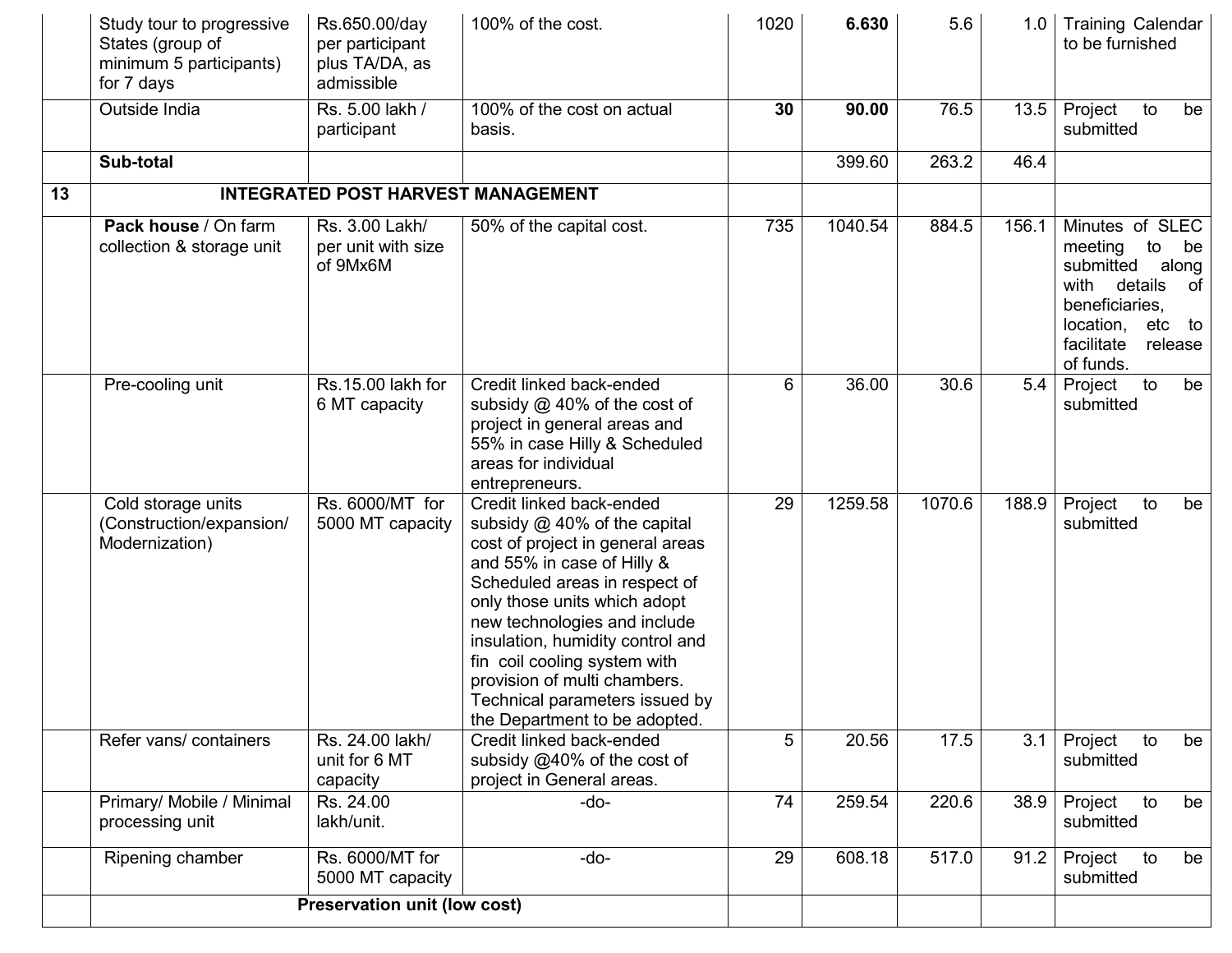|    | Study tour to progressive<br>States (group of<br>minimum 5 participants)<br>for 7 days | Rs.650.00/day<br>per participant<br>plus TA/DA, as<br>admissible | 100% of the cost.                                                                                                                                                                                                                                                                                                                                                                                    | 1020 | 6.630   | 5.6    | 1.0   | <b>Training Calendar</b><br>to be furnished                                                                                                                             |
|----|----------------------------------------------------------------------------------------|------------------------------------------------------------------|------------------------------------------------------------------------------------------------------------------------------------------------------------------------------------------------------------------------------------------------------------------------------------------------------------------------------------------------------------------------------------------------------|------|---------|--------|-------|-------------------------------------------------------------------------------------------------------------------------------------------------------------------------|
|    | Outside India                                                                          | Rs. 5.00 lakh /<br>participant                                   | 100% of the cost on actual<br>basis.                                                                                                                                                                                                                                                                                                                                                                 | 30   | 90.00   | 76.5   | 13.5  | Project<br>to<br>be<br>submitted                                                                                                                                        |
|    | Sub-total                                                                              |                                                                  |                                                                                                                                                                                                                                                                                                                                                                                                      |      | 399.60  | 263.2  | 46.4  |                                                                                                                                                                         |
| 13 |                                                                                        | <b>INTEGRATED POST HARVEST MANAGEMENT</b>                        |                                                                                                                                                                                                                                                                                                                                                                                                      |      |         |        |       |                                                                                                                                                                         |
|    | Pack house / On farm<br>collection & storage unit                                      | Rs. 3.00 Lakh/<br>per unit with size<br>of 9Mx6M                 | 50% of the capital cost.                                                                                                                                                                                                                                                                                                                                                                             | 735  | 1040.54 | 884.5  | 156.1 | Minutes of SLEC<br>meeting<br>to<br>be<br>submitted<br>along<br>with<br>details<br>0f<br>beneficiaries,<br>location,<br>etc<br>to<br>facilitate<br>release<br>of funds. |
|    | Pre-cooling unit                                                                       | Rs.15.00 lakh for<br>6 MT capacity                               | Credit linked back-ended<br>subsidy @ 40% of the cost of<br>project in general areas and<br>55% in case Hilly & Scheduled<br>areas for individual<br>entrepreneurs.                                                                                                                                                                                                                                  | 6    | 36.00   | 30.6   | 5.4   | to<br>Project<br>be<br>submitted                                                                                                                                        |
|    | Cold storage units<br>(Construction/expansion/<br>Modernization)                       | Rs. 6000/MT for<br>5000 MT capacity                              | Credit linked back-ended<br>subsidy $@$ 40% of the capital<br>cost of project in general areas<br>and 55% in case of Hilly &<br>Scheduled areas in respect of<br>only those units which adopt<br>new technologies and include<br>insulation, humidity control and<br>fin coil cooling system with<br>provision of multi chambers.<br>Technical parameters issued by<br>the Department to be adopted. | 29   | 1259.58 | 1070.6 | 188.9 | Project<br>to<br>be<br>submitted                                                                                                                                        |
|    | Refer vans/ containers                                                                 | Rs. 24.00 lakh/<br>unit for 6 MT<br>capacity                     | Credit linked back-ended<br>subsidy @40% of the cost of<br>project in General areas.                                                                                                                                                                                                                                                                                                                 | 5    | 20.56   | 17.5   | 3.1   | to<br>Project<br>be<br>submitted                                                                                                                                        |
|    | Primary/ Mobile / Minimal<br>processing unit                                           | Rs. 24.00<br>lakh/unit.                                          | -do-                                                                                                                                                                                                                                                                                                                                                                                                 | 74   | 259.54  | 220.6  | 38.9  | Project<br>to<br>be<br>submitted                                                                                                                                        |
|    | Ripening chamber                                                                       | Rs. 6000/MT for<br>5000 MT capacity                              | $-do-$                                                                                                                                                                                                                                                                                                                                                                                               | 29   | 608.18  | 517.0  | 91.2  | to<br>Project<br>be<br>submitted                                                                                                                                        |
|    | <b>Preservation unit (low cost)</b>                                                    |                                                                  |                                                                                                                                                                                                                                                                                                                                                                                                      |      |         |        |       |                                                                                                                                                                         |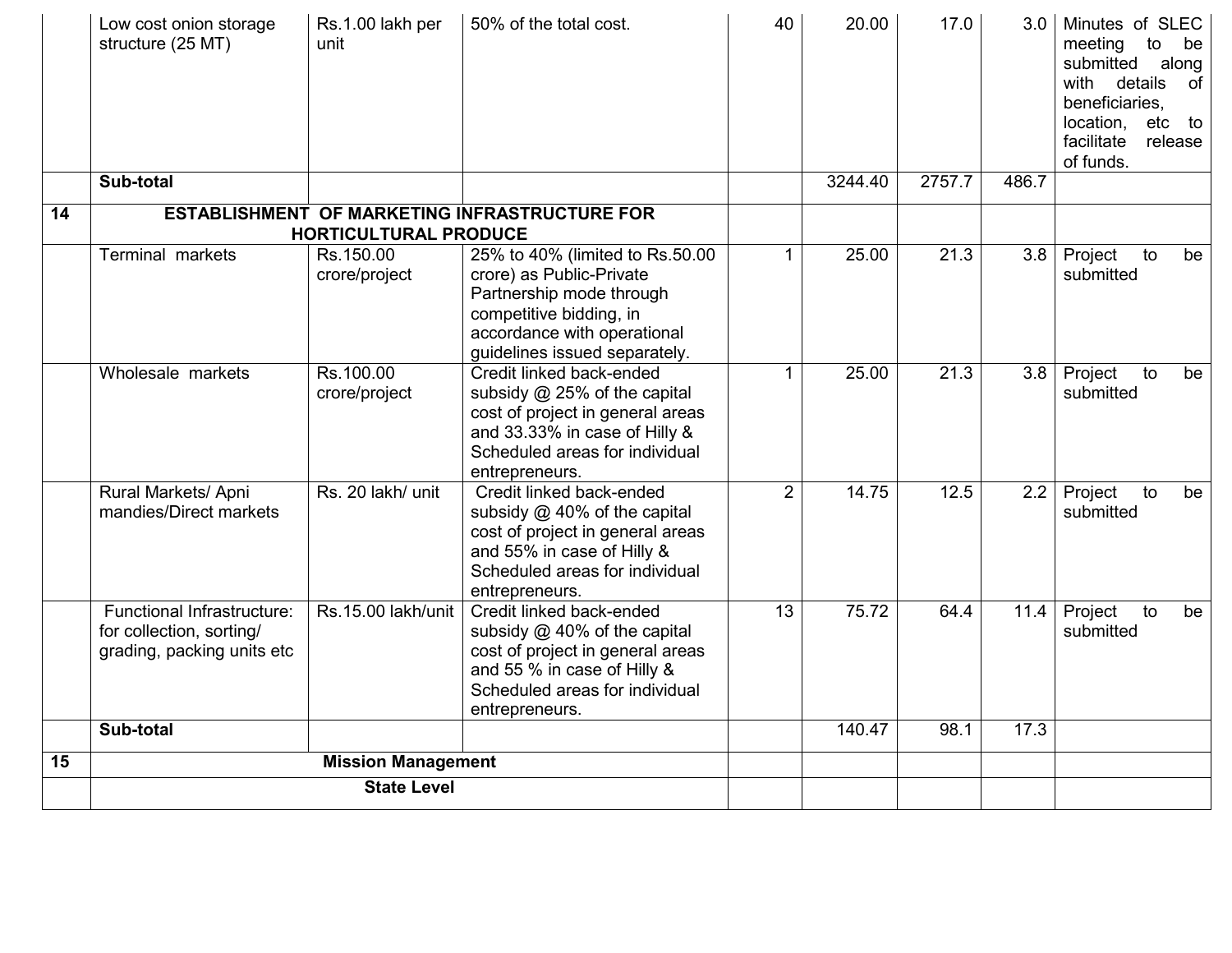|    | Low cost onion storage<br>structure (25 MT)                                          | Rs.1.00 lakh per<br>unit     | 50% of the total cost.                                                                                                                                                             | 40             | 20.00   | 17.0   | 3.0              | Minutes of SLEC<br>meeting<br>to<br>be<br>submitted<br>along<br>with details<br>of<br>beneficiaries.<br>location,<br>etc to<br>facilitate<br>release<br>of funds. |
|----|--------------------------------------------------------------------------------------|------------------------------|------------------------------------------------------------------------------------------------------------------------------------------------------------------------------------|----------------|---------|--------|------------------|-------------------------------------------------------------------------------------------------------------------------------------------------------------------|
|    | Sub-total                                                                            |                              |                                                                                                                                                                                    |                | 3244.40 | 2757.7 | 486.7            |                                                                                                                                                                   |
| 14 |                                                                                      | <b>HORTICULTURAL PRODUCE</b> | <b>ESTABLISHMENT OF MARKETING INFRASTRUCTURE FOR</b>                                                                                                                               |                |         |        |                  |                                                                                                                                                                   |
|    | <b>Terminal markets</b>                                                              | Rs.150.00<br>crore/project   | 25% to 40% (limited to Rs.50.00<br>crore) as Public-Private<br>Partnership mode through<br>competitive bidding, in<br>accordance with operational<br>guidelines issued separately. | $\mathbf 1$    | 25.00   | 21.3   | $\overline{3.8}$ | Project<br>to<br>be<br>submitted                                                                                                                                  |
|    | Wholesale markets                                                                    | Rs.100.00<br>crore/project   | Credit linked back-ended<br>subsidy @ 25% of the capital<br>cost of project in general areas<br>and 33.33% in case of Hilly &<br>Scheduled areas for individual<br>entrepreneurs.  | 1              | 25.00   | 21.3   |                  | 3.8 Project<br>to<br>be<br>submitted                                                                                                                              |
|    | Rural Markets/ Apni<br>mandies/Direct markets                                        | Rs. 20 lakh/ unit            | Credit linked back-ended<br>subsidy @ 40% of the capital<br>cost of project in general areas<br>and 55% in case of Hilly &<br>Scheduled areas for individual<br>entrepreneurs.     | $\overline{2}$ | 14.75   | 12.5   | 2.2              | Project<br>to<br>be<br>submitted                                                                                                                                  |
|    | Functional Infrastructure:<br>for collection, sorting/<br>grading, packing units etc | Rs.15.00 lakh/unit           | Credit linked back-ended<br>subsidy $@$ 40% of the capital<br>cost of project in general areas<br>and 55 % in case of Hilly &<br>Scheduled areas for individual<br>entrepreneurs.  | 13             | 75.72   | 64.4   | 11.4             | Project<br>to<br>be<br>submitted                                                                                                                                  |
|    | Sub-total                                                                            |                              |                                                                                                                                                                                    |                | 140.47  | 98.1   | 17.3             |                                                                                                                                                                   |
| 15 |                                                                                      | <b>Mission Management</b>    |                                                                                                                                                                                    |                |         |        |                  |                                                                                                                                                                   |
|    |                                                                                      | <b>State Level</b>           |                                                                                                                                                                                    |                |         |        |                  |                                                                                                                                                                   |